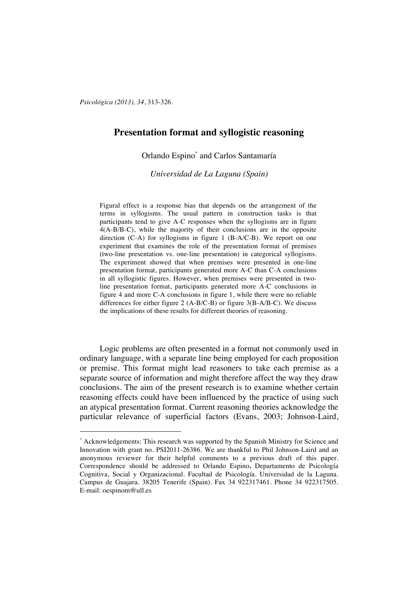*Psicológica (2013), 34*, 313-326.

 $\overline{a}$ 

# **Presentation format and syllogistic reasoning**

Orlando Espino\* and Carlos Santamaría

*Universidad de La Laguna (Spain)*

Figural effect is a response bias that depends on the arrangement of the terms in syllogisms. The usual pattern in construction tasks is that participants tend to give A-C responses when the syllogisms are in figure 4(A-B/B-C), while the majority of their conclusions are in the opposite direction (C-A) for syllogisms in figure 1 (B-A/C-B). We report on one experiment that examines the role of the presentation format of premises (two-line presentation vs. one-line presentation) in categorical syllogisms. The experiment showed that when premises were presented in one-line presentation format, participants generated more A-C than C-A conclusions in all syllogistic figures. However, when premises were presented in twoline presentation format, participants generated more A-C conclusions in figure 4 and more C-A conclusions in figure 1, while there were no reliable differences for either figure 2 (A-B/C-B) or figure 3(B-A/B-C). We discuss the implications of these results for different theories of reasoning.

Logic problems are often presented in a format not commonly used in ordinary language, with a separate line being employed for each proposition or premise. This format might lead reasoners to take each premise as a separate source of information and might therefore affect the way they draw conclusions. The aim of the present research is to examine whether certain reasoning effects could have been influenced by the practice of using such an atypical presentation format. Current reasoning theories acknowledge the particular relevance of superficial factors (Evans, 2003; Johnson-Laird,

<sup>\*</sup> Acknowledgements: This research was supported by the Spanish Ministry for Science and Innovation with grant no. PSI2011-26386. We are thankful to Phil Johnson-Laird and an anonymous reviewer for their helpful comments to a previous draft of this paper. Correspondence should be addressed to Orlando Espino**.** Departamento de Psicología Cognitiva, Social y Organizacional. Facultad de Psicología. Universidad de la Laguna. Campus de Guajara. 38205 Tenerife (Spain). Fax 34 922317461. Phone 34 922317505. E-mail: oespinom@ull.es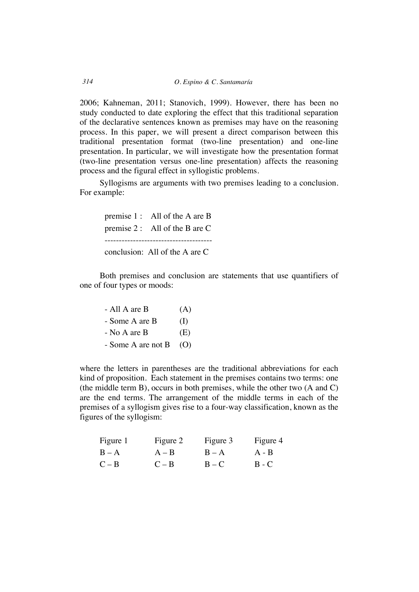2006; Kahneman, 2011; Stanovich, 1999). However, there has been no study conducted to date exploring the effect that this traditional separation of the declarative sentences known as premises may have on the reasoning process. In this paper, we will present a direct comparison between this traditional presentation format (two-line presentation) and one-line presentation. In particular, we will investigate how the presentation format (two-line presentation versus one-line presentation) affects the reasoning process and the figural effect in syllogistic problems.

Syllogisms are arguments with two premises leading to a conclusion. For example:

premise 1 : All of the A are B premise 2 : All of the B are C ------------------------------------- conclusion: All of the A are C

Both premises and conclusion are statements that use quantifiers of one of four types or moods:

| - All A are B      | (A)      |
|--------------------|----------|
| - Some A are B     | $\rm(I)$ |
| - No A are B       | (E)      |
| - Some A are not B | (O)      |

where the letters in parentheses are the traditional abbreviations for each kind of proposition. Each statement in the premises contains two terms: one (the middle term B), occurs in both premises, while the other two (A and C) are the end terms. The arrangement of the middle terms in each of the premises of a syllogism gives rise to a four-way classification, known as the figures of the syllogism:

| Figure 1 | Figure 2 | Figure 3 | Figure 4 |
|----------|----------|----------|----------|
| $B - A$  | $A - B$  | $B - A$  | $A - B$  |
| $C - B$  | $C - B$  | $B - C$  | $B - C$  |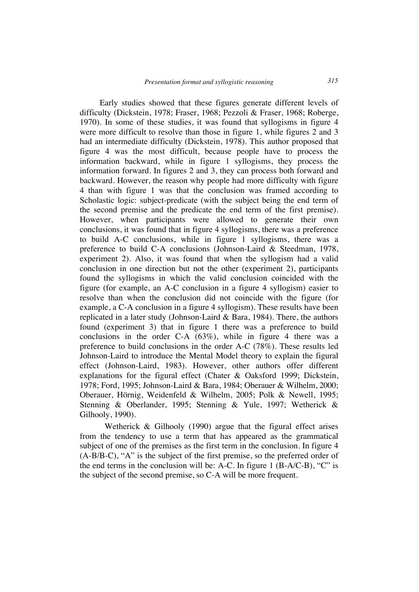Early studies showed that these figures generate different levels of difficulty (Dickstein, 1978; Fraser, 1968; Pezzoli & Fraser, 1968; Roberge, 1970). In some of these studies, it was found that syllogisms in figure 4 were more difficult to resolve than those in figure 1, while figures 2 and 3 had an intermediate difficulty (Dickstein, 1978). This author proposed that figure 4 was the most difficult, because people have to process the information backward, while in figure 1 syllogisms, they process the information forward. In figures 2 and 3, they can process both forward and backward. However, the reason why people had more difficulty with figure 4 than with figure 1 was that the conclusion was framed according to Scholastic logic: subject-predicate (with the subject being the end term of the second premise and the predicate the end term of the first premise). However, when participants were allowed to generate their own conclusions, it was found that in figure 4 syllogisms, there was a preference to build A-C conclusions, while in figure 1 syllogisms, there was a preference to build C-A conclusions (Johnson-Laird & Steedman, 1978, experiment 2). Also, it was found that when the syllogism had a valid conclusion in one direction but not the other (experiment 2), participants found the syllogisms in which the valid conclusion coincided with the figure (for example, an A-C conclusion in a figure 4 syllogism) easier to resolve than when the conclusion did not coincide with the figure (for example, a C-A conclusion in a figure 4 syllogism). These results have been replicated in a later study (Johnson-Laird & Bara, 1984). There, the authors found (experiment 3) that in figure 1 there was a preference to build conclusions in the order C-A (63%), while in figure 4 there was a preference to build conclusions in the order A-C (78%). These results led Johnson-Laird to introduce the Mental Model theory to explain the figural effect (Johnson-Laird, 1983). However, other authors offer different explanations for the figural effect (Chater & Oaksford 1999; Dickstein, 1978; Ford, 1995; Johnson-Laird & Bara, 1984; Oberauer & Wilhelm, 2000; Oberauer, Hörnig, Weidenfeld & Wilhelm, 2005; Polk & Newell, 1995; Stenning & Oberlander, 1995; Stenning & Yule, 1997; Wetherick & Gilhooly, 1990).

Wetherick & Gilhooly (1990) argue that the figural effect arises from the tendency to use a term that has appeared as the grammatical subject of one of the premises as the first term in the conclusion. In figure 4 (A-B/B-C), "A" is the subject of the first premise, so the preferred order of the end terms in the conclusion will be: A-C. In figure 1 (B-A/C-B), "C" is the subject of the second premise, so C-A will be more frequent.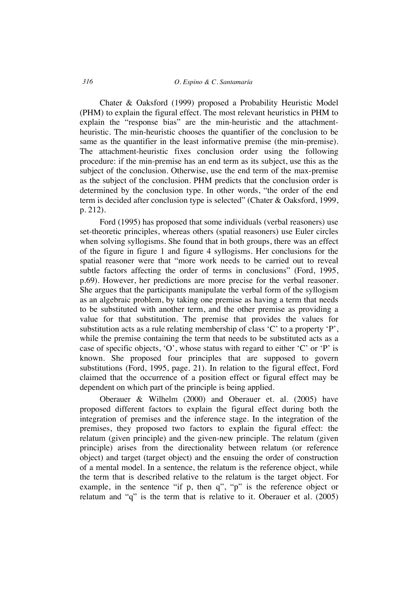#### *316 O. Espino & C. Santamaría*

Chater & Oaksford (1999) proposed a Probability Heuristic Model (PHM) to explain the figural effect. The most relevant heuristics in PHM to explain the "response bias" are the min-heuristic and the attachmentheuristic. The min-heuristic chooses the quantifier of the conclusion to be same as the quantifier in the least informative premise (the min-premise). The attachment-heuristic fixes conclusion order using the following procedure: if the min-premise has an end term as its subject, use this as the subject of the conclusion. Otherwise, use the end term of the max-premise as the subject of the conclusion. PHM predicts that the conclusion order is determined by the conclusion type. In other words, "the order of the end term is decided after conclusion type is selected" (Chater & Oaksford, 1999, p. 212).

Ford (1995) has proposed that some individuals (verbal reasoners) use set-theoretic principles, whereas others (spatial reasoners) use Euler circles when solving syllogisms. She found that in both groups, there was an effect of the figure in figure 1 and figure 4 syllogisms. Her conclusions for the spatial reasoner were that "more work needs to be carried out to reveal subtle factors affecting the order of terms in conclusions" (Ford, 1995, p.69). However, her predictions are more precise for the verbal reasoner. She argues that the participants manipulate the verbal form of the syllogism as an algebraic problem, by taking one premise as having a term that needs to be substituted with another term, and the other premise as providing a value for that substitution. The premise that provides the values for substitution acts as a rule relating membership of class 'C' to a property 'P', while the premise containing the term that needs to be substituted acts as a case of specific objects, 'O', whose status with regard to either 'C' or 'P' is known. She proposed four principles that are supposed to govern substitutions (Ford, 1995, page. 21). In relation to the figural effect, Ford claimed that the occurrence of a position effect or figural effect may be dependent on which part of the principle is being applied.

Oberauer & Wilhelm (2000) and Oberauer et. al. (2005) have proposed different factors to explain the figural effect during both the integration of premises and the inference stage. In the integration of the premises, they proposed two factors to explain the figural effect: the relatum (given principle) and the given-new principle. The relatum (given principle) arises from the directionality between relatum (or reference object) and target (target object) and the ensuing the order of construction of a mental model. In a sentence, the relatum is the reference object, while the term that is described relative to the relatum is the target object. For example, in the sentence "if p, then q", "p" is the reference object or relatum and "q" is the term that is relative to it. Oberauer et al. (2005)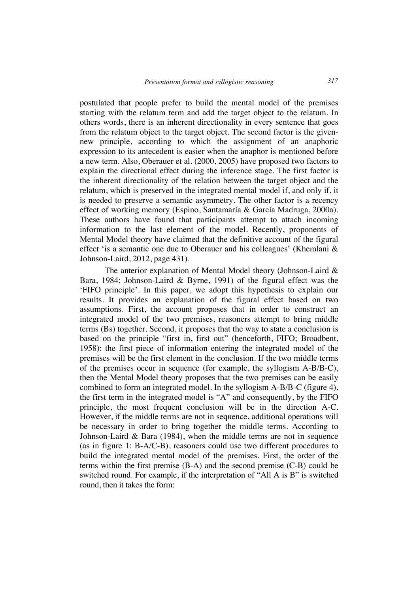postulated that people prefer to build the mental model of the premises starting with the relatum term and add the target object to the relatum. In others words, there is an inherent directionality in every sentence that goes from the relatum object to the target object. The second factor is the givennew principle, according to which the assignment of an anaphoric expression to its antecedent is easier when the anaphor is mentioned before a new term. Also, Oberauer et al. (2000, 2005) have proposed two factors to explain the directional effect during the inference stage. The first factor is the inherent directionality of the relation between the target object and the relatum, which is preserved in the integrated mental model if, and only if, it is needed to preserve a semantic asymmetry. The other factor is a recency effect of working memory (Espino, Santamaría & García Madruga, 2000a). These authors have found that participants attempt to attach incoming information to the last element of the model. Recently, proponents of Mental Model theory have claimed that the definitive account of the figural effect 'is a semantic one due to Oberauer and his colleagues' (Khemlani & Johnson-Laird, 2012, page 431).

The anterior explanation of Mental Model theory (Johnson-Laird & Bara, 1984; Johnson-Laird & Byrne, 1991) of the figural effect was the 'FIFO principle'. In this paper, we adopt this hypothesis to explain our results. It provides an explanation of the figural effect based on two assumptions. First, the account proposes that in order to construct an integrated model of the two premises, reasoners attempt to bring middle terms (Bs) together. Second, it proposes that the way to state a conclusion is based on the principle "first in, first out" (henceforth, FIFO; Broadbent, 1958): the first piece of information entering the integrated model of the premises will be the first element in the conclusion. If the two middle terms of the premises occur in sequence (for example, the syllogism A-B/B-C), then the Mental Model theory proposes that the two premises can be easily combined to form an integrated model. In the syllogism A-B/B-C (figure 4), the first term in the integrated model is "A" and consequently, by the FIFO principle, the most frequent conclusion will be in the direction A-C. However, if the middle terms are not in sequence, additional operations will be necessary in order to bring together the middle terms. According to Johnson-Laird & Bara (1984), when the middle terms are not in sequence (as in figure 1: B-A/C-B), reasoners could use two different procedures to build the integrated mental model of the premises. First, the order of the terms within the first premise (B-A) and the second premise (C-B) could be switched round. For example, if the interpretation of "All A is B" is switched round, then it takes the form: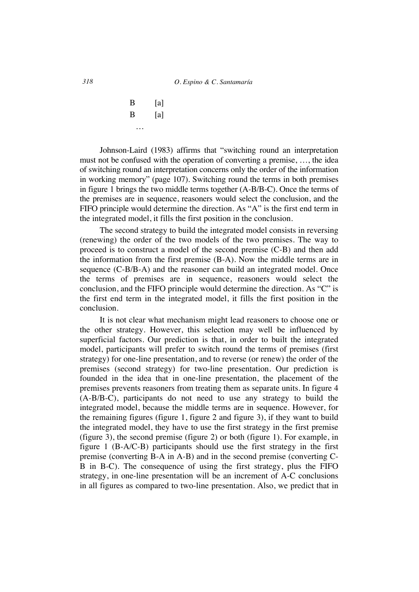$B$  [a]  $\mathbf{B}$  [a] …

Johnson-Laird (1983) affirms that "switching round an interpretation must not be confused with the operation of converting a premise, …, the idea of switching round an interpretation concerns only the order of the information in working memory" (page 107). Switching round the terms in both premises in figure 1 brings the two middle terms together (A-B/B-C). Once the terms of the premises are in sequence, reasoners would select the conclusion, and the FIFO principle would determine the direction. As "A" is the first end term in the integrated model, it fills the first position in the conclusion.

The second strategy to build the integrated model consists in reversing (renewing) the order of the two models of the two premises. The way to proceed is to construct a model of the second premise (C-B) and then add the information from the first premise (B-A). Now the middle terms are in sequence (C-B/B-A) and the reasoner can build an integrated model. Once the terms of premises are in sequence, reasoners would select the conclusion, and the FIFO principle would determine the direction. As "C" is the first end term in the integrated model, it fills the first position in the conclusion.

It is not clear what mechanism might lead reasoners to choose one or the other strategy. However, this selection may well be influenced by superficial factors. Our prediction is that, in order to built the integrated model, participants will prefer to switch round the terms of premises (first strategy) for one-line presentation, and to reverse (or renew) the order of the premises (second strategy) for two-line presentation. Our prediction is founded in the idea that in one-line presentation, the placement of the premises prevents reasoners from treating them as separate units. In figure 4 (A-B/B-C), participants do not need to use any strategy to build the integrated model, because the middle terms are in sequence. However, for the remaining figures (figure 1, figure 2 and figure 3), if they want to build the integrated model, they have to use the first strategy in the first premise (figure 3), the second premise (figure 2) or both (figure 1). For example, in figure 1 (B-A/C-B) participants should use the first strategy in the first premise (converting B-A in A-B) and in the second premise (converting C-B in B-C). The consequence of using the first strategy, plus the FIFO strategy, in one-line presentation will be an increment of A-C conclusions in all figures as compared to two-line presentation. Also, we predict that in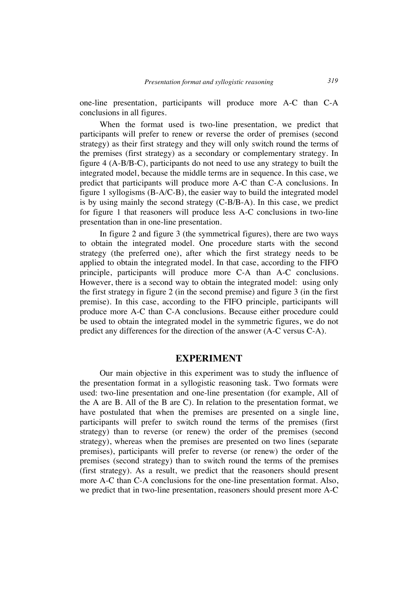one-line presentation, participants will produce more A-C than C-A conclusions in all figures.

When the format used is two-line presentation, we predict that participants will prefer to renew or reverse the order of premises (second strategy) as their first strategy and they will only switch round the terms of the premises (first strategy) as a secondary or complementary strategy. In figure 4 (A-B/B-C), participants do not need to use any strategy to built the integrated model, because the middle terms are in sequence. In this case, we predict that participants will produce more A-C than C-A conclusions. In figure 1 syllogisms (B-A/C-B), the easier way to build the integrated model is by using mainly the second strategy (C-B/B-A). In this case, we predict for figure 1 that reasoners will produce less A-C conclusions in two-line presentation than in one-line presentation.

In figure 2 and figure 3 (the symmetrical figures), there are two ways to obtain the integrated model. One procedure starts with the second strategy (the preferred one), after which the first strategy needs to be applied to obtain the integrated model. In that case, according to the FIFO principle, participants will produce more C-A than A-C conclusions. However, there is a second way to obtain the integrated model: using only the first strategy in figure 2 (in the second premise) and figure 3 (in the first premise). In this case, according to the FIFO principle, participants will produce more A-C than C-A conclusions. Because either procedure could be used to obtain the integrated model in the symmetric figures, we do not predict any differences for the direction of the answer (A-C versus C-A).

# **EXPERIMENT**

Our main objective in this experiment was to study the influence of the presentation format in a syllogistic reasoning task. Two formats were used: two-line presentation and one-line presentation (for example, All of the A are B. All of the B are C). In relation to the presentation format, we have postulated that when the premises are presented on a single line, participants will prefer to switch round the terms of the premises (first strategy) than to reverse (or renew) the order of the premises (second strategy), whereas when the premises are presented on two lines (separate premises), participants will prefer to reverse (or renew) the order of the premises (second strategy) than to switch round the terms of the premises (first strategy). As a result, we predict that the reasoners should present more A-C than C-A conclusions for the one-line presentation format. Also, we predict that in two-line presentation, reasoners should present more A-C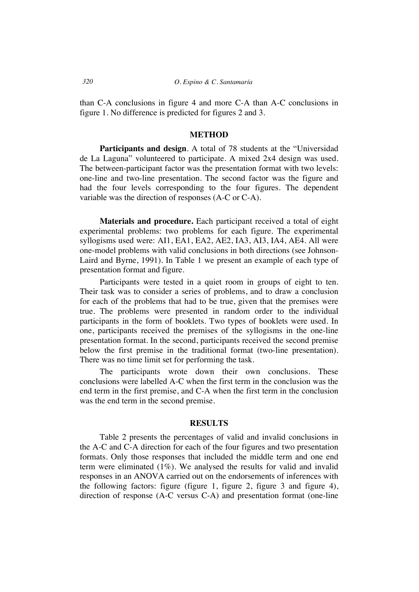than C-A conclusions in figure 4 and more C-A than A-C conclusions in figure 1. No difference is predicted for figures 2 and 3.

### **METHOD**

Participants and design. A total of 78 students at the "Universidad de La Laguna" volunteered to participate. A mixed 2x4 design was used. The between-participant factor was the presentation format with two levels: one-line and two-line presentation. The second factor was the figure and had the four levels corresponding to the four figures. The dependent variable was the direction of responses (A-C or C-A).

**Materials and procedure.** Each participant received a total of eight experimental problems: two problems for each figure. The experimental syllogisms used were: AI1, EA1, EA2, AE2, IA3, AI3, IA4, AE4. All were one-model problems with valid conclusions in both directions (see Johnson-Laird and Byrne, 1991). In Table 1 we present an example of each type of presentation format and figure.

Participants were tested in a quiet room in groups of eight to ten. Their task was to consider a series of problems, and to draw a conclusion for each of the problems that had to be true, given that the premises were true. The problems were presented in random order to the individual participants in the form of booklets. Two types of booklets were used. In one, participants received the premises of the syllogisms in the one-line presentation format. In the second, participants received the second premise below the first premise in the traditional format (two-line presentation). There was no time limit set for performing the task.

The participants wrote down their own conclusions. These conclusions were labelled A-C when the first term in the conclusion was the end term in the first premise, and C-A when the first term in the conclusion was the end term in the second premise.

#### **RESULTS**

Table 2 presents the percentages of valid and invalid conclusions in the A-C and C-A direction for each of the four figures and two presentation formats. Only those responses that included the middle term and one end term were eliminated (1%). We analysed the results for valid and invalid responses in an ANOVA carried out on the endorsements of inferences with the following factors: figure (figure 1, figure 2, figure 3 and figure 4), direction of response (A-C versus C-A) and presentation format (one-line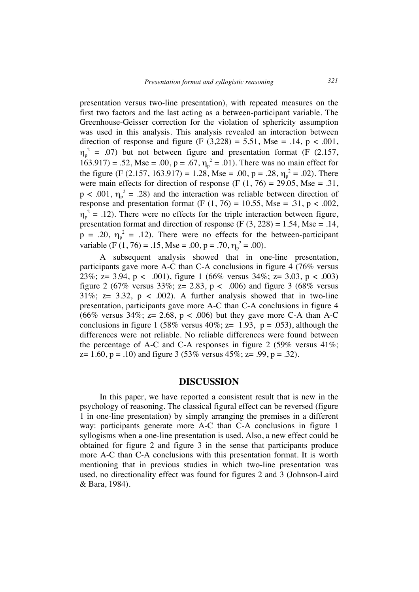presentation versus two-line presentation), with repeated measures on the first two factors and the last acting as a between-participant variable. The Greenhouse-Geisser correction for the violation of sphericity assumption was used in this analysis. This analysis revealed an interaction between direction of response and figure (F  $(3,228) = 5.51$ , Mse = .14, p < .001,  $\eta_p^2$  = .07) but not between figure and presentation format (F (2.157, 163.917) = .52, Mse = .00, p = .67,  $\eta_p^2$  = .01). There was no main effect for the figure (F (2.157, 163.917) = 1.28, Mse = .00, p = .28,  $\eta_p^2$  = .02). There were main effects for direction of response (F  $(1, 76) = 29.05$ , Mse = .31,  $p < .001$ ,  $\eta_p^2 = .28$ ) and the interaction was reliable between direction of response and presentation format (F  $(1, 76) = 10.55$ , Mse = .31, p < .002,  $\eta_p^2$  = .12). There were no effects for the triple interaction between figure, presentation format and direction of response  $(F (3, 228) = 1.54,$  Mse = .14,  $p = .20$ ,  $\eta_p^2 = .12$ ). There were no effects for the between-participant variable (F (1, 76) = .15, Mse = .00, p = .70,  $\eta_p^2$  = .00).

A subsequent analysis showed that in one-line presentation, participants gave more A-C than C-A conclusions in figure 4 (76% versus 23%; z= 3.94, p < .001), figure 1 (66% versus 34%; z= 3.03, p < .003) figure 2 (67% versus 33%;  $z = 2.83$ ,  $p < .006$ ) and figure 3 (68% versus 31%;  $z = 3.32$ ,  $p < .002$ ). A further analysis showed that in two-line presentation, participants gave more A-C than C-A conclusions in figure 4 (66% versus 34%;  $z = 2.68$ ,  $p < .006$ ) but they gave more C-A than A-C conclusions in figure 1 (58% versus 40%;  $z=$  1.93,  $p = .053$ ), although the differences were not reliable. No reliable differences were found between the percentage of A-C and C-A responses in figure 2 (59% versus  $41\%$ ;  $z= 1.60$ ,  $p = .10$ ) and figure 3 (53% versus 45%;  $z= .99$ ,  $p = .32$ ).

### **DISCUSSION**

In this paper, we have reported a consistent result that is new in the psychology of reasoning. The classical figural effect can be reversed (figure 1 in one-line presentation) by simply arranging the premises in a different way: participants generate more A-C than C-A conclusions in figure 1 syllogisms when a one-line presentation is used. Also, a new effect could be obtained for figure 2 and figure 3 in the sense that participants produce more A-C than C-A conclusions with this presentation format. It is worth mentioning that in previous studies in which two-line presentation was used, no directionality effect was found for figures 2 and 3 (Johnson-Laird & Bara, 1984).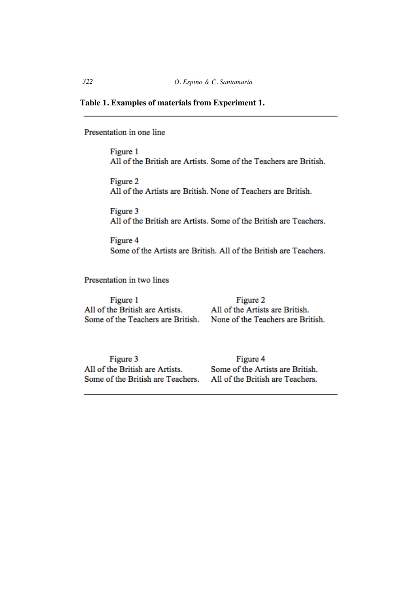### **Table 1. Examples of materials from Experiment 1.**

Presentation in one line

Figure 1 All of the British are Artists. Some of the Teachers are British.

Figure 2 All of the Artists are British. None of Teachers are British.

Figure 3 All of the British are Artists. Some of the British are Teachers.

Figure 4 Some of the Artists are British. All of the British are Teachers.

Presentation in two lines

Figure 1 All of the British are Artists. Some of the Teachers are British.

Figure 2 All of the Artists are British. None of the Teachers are British.

Figure 3 All of the British are Artists. Some of the British are Teachers.

Figure 4 Some of the Artists are British. All of the British are Teachers.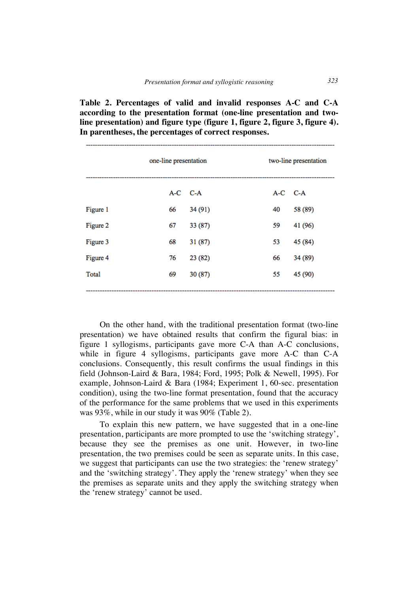**Table 2. Percentages of valid and invalid responses A-C and C-A according to the presentation format (one-line presentation and twoline presentation) and figure type (figure 1, figure 2, figure 3, figure 4). In parentheses, the percentages of correct responses.**

|          | one-line presentation |         | two-line presentation |         |
|----------|-----------------------|---------|-----------------------|---------|
|          | A-C C-A               |         | A-C C-A               |         |
| Figure 1 | 66                    | 34 (91) | 40                    | 58 (89) |
| Figure 2 | 67                    | 33 (87) | 59                    | 41 (96) |
| Figure 3 | 68                    | 31(87)  | 53                    | 45 (84) |
| Figure 4 | 76                    | 23 (82) | 66                    | 34 (89) |
| Total    | 69                    | 30(87)  | 55                    | 45 (90) |
|          |                       |         |                       |         |

On the other hand, with the traditional presentation format (two-line presentation) we have obtained results that confirm the figural bias: in figure 1 syllogisms, participants gave more C-A than A-C conclusions, while in figure 4 syllogisms, participants gave more A-C than C-A conclusions. Consequently, this result confirms the usual findings in this field (Johnson-Laird & Bara, 1984; Ford, 1995; Polk & Newell, 1995). For example, Johnson-Laird & Bara (1984; Experiment 1, 60-sec. presentation condition), using the two-line format presentation, found that the accuracy of the performance for the same problems that we used in this experiments was 93%, while in our study it was 90% (Table 2).

To explain this new pattern, we have suggested that in a one-line presentation, participants are more prompted to use the 'switching strategy', because they see the premises as one unit. However, in two-line presentation, the two premises could be seen as separate units. In this case, we suggest that participants can use the two strategies: the 'renew strategy' and the 'switching strategy'. They apply the 'renew strategy' when they see the premises as separate units and they apply the switching strategy when the 'renew strategy' cannot be used.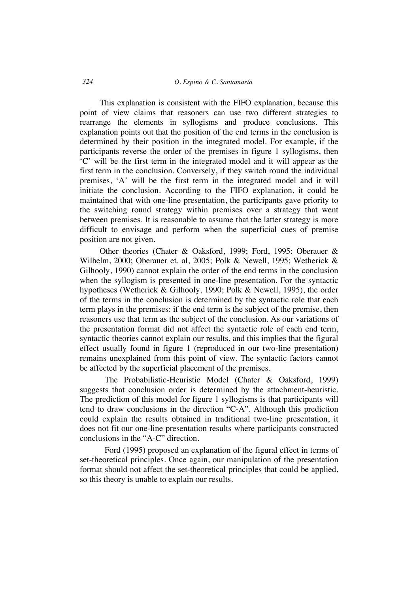#### *324 O. Espino & C. Santamaría*

This explanation is consistent with the FIFO explanation, because this point of view claims that reasoners can use two different strategies to rearrange the elements in syllogisms and produce conclusions. This explanation points out that the position of the end terms in the conclusion is determined by their position in the integrated model. For example, if the participants reverse the order of the premises in figure 1 syllogisms, then 'C' will be the first term in the integrated model and it will appear as the first term in the conclusion. Conversely, if they switch round the individual premises, 'A' will be the first term in the integrated model and it will initiate the conclusion. According to the FIFO explanation, it could be maintained that with one-line presentation, the participants gave priority to the switching round strategy within premises over a strategy that went between premises. It is reasonable to assume that the latter strategy is more difficult to envisage and perform when the superficial cues of premise position are not given.

Other theories (Chater & Oaksford, 1999; Ford, 1995: Oberauer & Wilhelm, 2000; Oberauer et. al, 2005; Polk & Newell, 1995; Wetherick & Gilhooly, 1990) cannot explain the order of the end terms in the conclusion when the syllogism is presented in one-line presentation. For the syntactic hypotheses (Wetherick & Gilhooly, 1990; Polk & Newell, 1995), the order of the terms in the conclusion is determined by the syntactic role that each term plays in the premises: if the end term is the subject of the premise, then reasoners use that term as the subject of the conclusion. As our variations of the presentation format did not affect the syntactic role of each end term, syntactic theories cannot explain our results, and this implies that the figural effect usually found in figure 1 (reproduced in our two-line presentation) remains unexplained from this point of view. The syntactic factors cannot be affected by the superficial placement of the premises.

The Probabilistic-Heuristic Model (Chater & Oaksford, 1999) suggests that conclusion order is determined by the attachment-heuristic. The prediction of this model for figure 1 syllogisms is that participants will tend to draw conclusions in the direction "C-A". Although this prediction could explain the results obtained in traditional two-line presentation, it does not fit our one-line presentation results where participants constructed conclusions in the "A-C" direction.

Ford (1995) proposed an explanation of the figural effect in terms of set-theoretical principles. Once again, our manipulation of the presentation format should not affect the set-theoretical principles that could be applied, so this theory is unable to explain our results.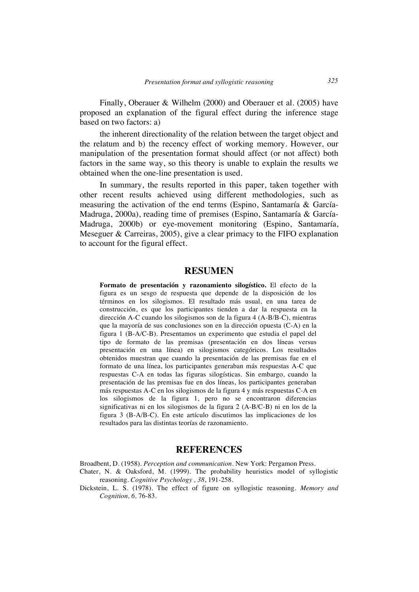Finally, Oberauer & Wilhelm (2000) and Oberauer et al. (2005) have proposed an explanation of the figural effect during the inference stage based on two factors: a)

the inherent directionality of the relation between the target object and the relatum and b) the recency effect of working memory. However, our manipulation of the presentation format should affect (or not affect) both factors in the same way, so this theory is unable to explain the results we obtained when the one-line presentation is used.

In summary, the results reported in this paper, taken together with other recent results achieved using different methodologies, such as measuring the activation of the end terms (Espino, Santamaría & García-Madruga, 2000a), reading time of premises (Espino, Santamaría & García-Madruga, 2000b) or eye-movement monitoring (Espino, Santamaría, Meseguer & Carreiras, 2005), give a clear primacy to the FIFO explanation to account for the figural effect.

# **RESUMEN**

**Formato de presentación y razonamiento silogístico.** El efecto de la figura es un sesgo de respuesta que depende de la disposición de los términos en los silogismos. El resultado más usual, en una tarea de construcción, es que los participantes tienden a dar la respuesta en la dirección A-C cuando los silogismos son de la figura 4 (A-B/B-C), mientras que la mayoría de sus conclusiones son en la dirección opuesta (C-A) en la figura 1 (B-A/C-B). Presentamos un experimento que estudia el papel del tipo de formato de las premisas (presentación en dos líneas versus presentación en una línea) en silogismos categóricos. Los resultados obtenidos muestran que cuando la presentación de las premisas fue en el formato de una línea, los participantes generaban más respuestas A-C que respuestas C-A en todas las figuras silogísticas. Sin embargo, cuando la presentación de las premisas fue en dos líneas, los participantes generaban más respuestas A-C en los silogismos de la figura 4 y más respuestas C-A en los silogismos de la figura 1, pero no se encontraron diferencias significativas ni en los silogismos de la figura 2 (A-B/C-B) ni en los de la figura 3 (B-A/B-C). En este artículo discutimos las implicaciones de los resultados para las distintas teorías de razonamiento.

# **REFERENCES**

Broadbent, D. (1958). *Perception and communication*. New York: Pergamon Press.

- Chater, N. & Oaksford, M. (1999). The probability heuristics model of syllogistic reasoning. *Cognitive Psychology , 38*, 191-258.
- Dickstein, L. S. (1978). The effect of figure on syllogistic reasoning. *Memory and Cognition, 6,* 76-83.